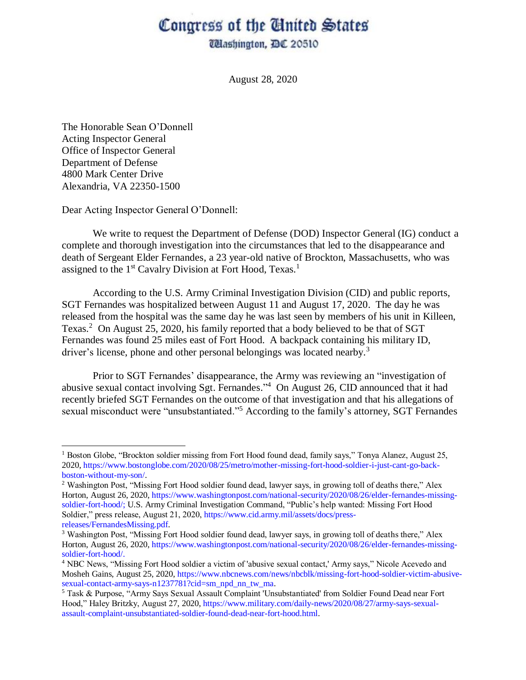## Congress of the Ginited States

**Washington, DC 20510** 

August 28, 2020

The Honorable Sean O'Donnell Acting Inspector General Office of Inspector General Department of Defense 4800 Mark Center Drive Alexandria, VA 22350-1500

 $\overline{a}$ 

Dear Acting Inspector General O'Donnell:

We write to request the Department of Defense (DOD) Inspector General (IG) conduct a complete and thorough investigation into the circumstances that led to the disappearance and death of Sergeant Elder Fernandes, a 23 year-old native of Brockton, Massachusetts, who was assigned to the 1<sup>st</sup> Cavalry Division at Fort Hood, Texas.<sup>1</sup>

According to the U.S. Army Criminal Investigation Division (CID) and public reports, SGT Fernandes was hospitalized between August 11 and August 17, 2020. The day he was released from the hospital was the same day he was last seen by members of his unit in Killeen, Texas.<sup>2</sup> On August 25, 2020, his family reported that a body believed to be that of SGT Fernandes was found 25 miles east of Fort Hood. A backpack containing his military ID, driver's license, phone and other personal belongings was located nearby.<sup>3</sup>

Prior to SGT Fernandes' disappearance, the Army was reviewing an "investigation of abusive sexual contact involving Sgt. Fernandes." <sup>4</sup> On August 26, CID announced that it had recently briefed SGT Fernandes on the outcome of that investigation and that his allegations of sexual misconduct were "unsubstantiated."<sup>5</sup> According to the family's attorney, SGT Fernandes

<sup>&</sup>lt;sup>1</sup> Boston Globe, "Brockton soldier missing from Fort Hood found dead, family says," Tonya Alanez, August 25, 2020, [https://www.bostonglobe.com/2020/08/25/metro/mother-missing-fort-hood-soldier-i-just-cant-go-back](https://www.bostonglobe.com/2020/08/25/metro/mother-missing-fort-hood-soldier-i-just-cant-go-back-boston-without-my-son/)[boston-without-my-son/.](https://www.bostonglobe.com/2020/08/25/metro/mother-missing-fort-hood-soldier-i-just-cant-go-back-boston-without-my-son/)

<sup>2</sup> Washington Post, "Missing Fort Hood soldier found dead, lawyer says, in growing toll of deaths there," Alex Horton, August 26, 2020[, https://www.washingtonpost.com/national-security/2020/08/26/elder-fernandes-missing](https://www.washingtonpost.com/national-security/2020/08/26/elder-fernandes-missing-soldier-fort-hood/)[soldier-fort-hood/;](https://www.washingtonpost.com/national-security/2020/08/26/elder-fernandes-missing-soldier-fort-hood/) U.S. Army Criminal Investigation Command, "Public's help wanted: Missing Fort Hood Soldier," press release, August 21, 2020, https://www.cid.army.mil/assets/docs/pressreleases/FernandesMissing.pdf.

<sup>3</sup> Washington Post, "Missing Fort Hood soldier found dead, lawyer says, in growing toll of deaths there," Alex Horton, August 26, 2020[, https://www.washingtonpost.com/national-security/2020/08/26/elder-fernandes-missing](https://www.washingtonpost.com/national-security/2020/08/26/elder-fernandes-missing-soldier-fort-hood/)[soldier-fort-hood/.](https://www.washingtonpost.com/national-security/2020/08/26/elder-fernandes-missing-soldier-fort-hood/)

<sup>4</sup> NBC News, "Missing Fort Hood soldier a victim of 'abusive sexual contact,' Army says," Nicole Acevedo and Mosheh Gains, August 25, 2020[, https://www.nbcnews.com/news/nbcblk/missing-fort-hood-soldier-victim-abusive](https://www.nbcnews.com/news/nbcblk/missing-fort-hood-soldier-victim-abusive-sexual-contact-army-says-n1237781?cid=sm_npd_nn_tw_ma)[sexual-contact-army-says-n1237781?cid=sm\\_npd\\_nn\\_tw\\_ma.](https://www.nbcnews.com/news/nbcblk/missing-fort-hood-soldier-victim-abusive-sexual-contact-army-says-n1237781?cid=sm_npd_nn_tw_ma)

<sup>5</sup> Task & Purpose, "Army Says Sexual Assault Complaint 'Unsubstantiated' from Soldier Found Dead near Fort Hood," Haley Britzky, August 27, 2020[, https://www.military.com/daily-news/2020/08/27/army-says-sexual](https://www.military.com/daily-news/2020/08/27/army-says-sexual-assault-complaint-unsubstantiated-soldier-found-dead-near-fort-hood.html)[assault-complaint-unsubstantiated-soldier-found-dead-near-fort-hood.html.](https://www.military.com/daily-news/2020/08/27/army-says-sexual-assault-complaint-unsubstantiated-soldier-found-dead-near-fort-hood.html)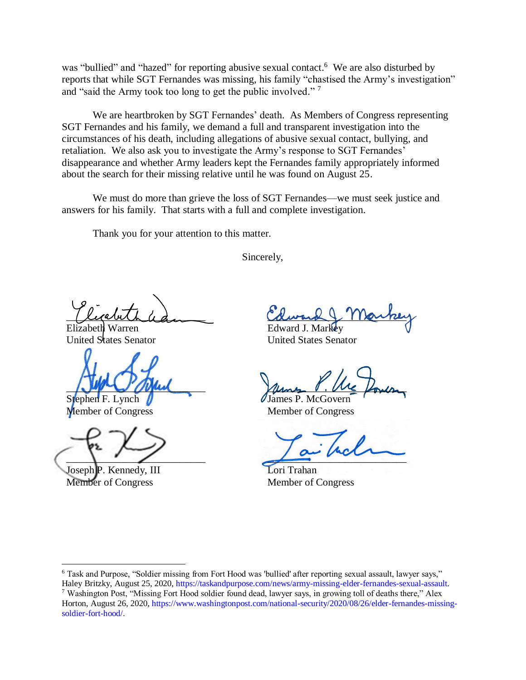was "bullied" and "hazed" for reporting abusive sexual contact.<sup>6</sup> We are also disturbed by reports that while SGT Fernandes was missing, his family "chastised the Army's investigation" and "said the Army took too long to get the public involved." <sup>7</sup>

We are heartbroken by SGT Fernandes' death. As Members of Congress representing SGT Fernandes and his family, we demand a full and transparent investigation into the circumstances of his death, including allegations of abusive sexual contact, bullying, and retaliation. We also ask you to investigate the Army's response to SGT Fernandes' disappearance and whether Army leaders kept the Fernandes family appropriately informed about the search for their missing relative until he was found on August 25.

We must do more than grieve the loss of SGT Fernandes—we must seek justice and answers for his family. That starts with a full and complete investigation.

Thank you for your attention to this matter.

Sincerely,

 $\mu$ 

Elizabeth Warren United States Senator

 $\sim$  one of  $\sim$ 

Stephen F. Lynch Member of Congress

 $\Box$ 

Joseph P. Kennedy, III Member of Congress

 $\overline{\phantom{a}}$ 

Columb & Marker Edward J. Markey

United States Senator

ums . Me forum James P. McGovern

Member of Congress

 $\overline{\phantom{a}}$ 

Lori Trahan Member of Congress

<sup>6</sup> Task and Purpose, "Soldier missing from Fort Hood was 'bullied' after reporting sexual assault, lawyer says," Haley Britzky, August 25, 2020, [https://taskandpurpose.com/news/army-missing-elder-fernandes-sexual-assault.](https://taskandpurpose.com/news/army-missing-elder-fernandes-sexual-assault)

<sup>7</sup> Washington Post, "Missing Fort Hood soldier found dead, lawyer says, in growing toll of deaths there," Alex Horton, August 26, 2020[, https://www.washingtonpost.com/national-security/2020/08/26/elder-fernandes-missing](https://www.washingtonpost.com/national-security/2020/08/26/elder-fernandes-missing-soldier-fort-hood/)[soldier-fort-hood/.](https://www.washingtonpost.com/national-security/2020/08/26/elder-fernandes-missing-soldier-fort-hood/)